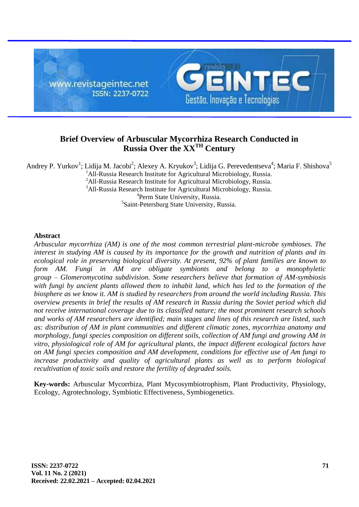

# **Brief Overview of Arbuscular Mycorrhiza Research Conducted in Russia Over the XXTH Century**

Andrey P. Yurkov<sup>1</sup>; Lidija M. Jacobi<sup>2</sup>; Alexey A. Kryukov<sup>3</sup>; Lidija G. Perevedentseva<sup>4</sup>; Maria F. Shishova<sup>5</sup>  $1$ All-Russia Research Institute for Agricultural Microbiology, Russia. <sup>2</sup>All-Russia Research Institute for Agricultural Microbiology, Russia. <sup>3</sup>All-Russia Research Institute for Agricultural Microbiology, Russia. <sup>4</sup>Perm State University, Russia. <sup>5</sup>Saint-Petersburg State University, Russia.

## **Abstract**

*Arbuscular mycorrhiza (AM) is one of the most common terrestrial plant-microbe symbioses. The interest in studying AM is caused by its importance for the growth and nutrition of plants and its ecological role in preserving biological diversity. At present, 92% of plant families are known to*  form AM. Fungi in AM are obligate symbionts and belong to a monophyletic *group – Glomeromycotina subdivision. Some researchers believe that formation of AM-symbiosis with fungi by ancient plants allowed them to inhabit land, which has led to the formation of the biosphere as we know it. AM is studied by researchers from around the world including Russia. This overview presents in brief the results of AM research in Russia during the Soviet period which did not receive international coverage due to its classified nature; the most prominent research schools and works of AM researchers are identified; main stages and lines of this research are listed, such as: distribution of AM in plant communities and different climatic zones, mycorrhiza anatomy and morphology, fungi species composition on different soils, collection of AM fungi and growing AM in vitro, physiological role of AM for agricultural plants, the impact different ecological factors have on AM fungi species composition and AM development, conditions for effective use of Am fungi to increase productivity and quality of agricultural plants as well as to perform biological recultivation of toxic soils and restore the fertility of degraded soils.*

**Key-words:** Arbuscular Mycorrhiza, Plant Mycosymbiotrophism, Plant Productivity, Physiology, Ecology, Agrotechnology, Symbiotic Effectiveness, Symbiogenetics.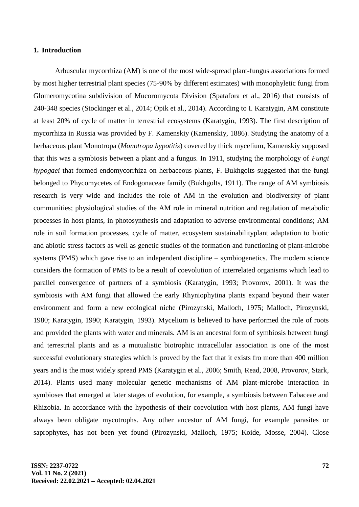#### **1. Introduction**

Arbuscular mycorrhiza (AM) is one of the most wide-spread plant-fungus associations formed by most higher terrestrial plant species (75-90% by different estimates) with monophyletic fungi from Glomeromycotina subdivision of Mucoromycota Division (Spatafora et al., 2016) that consists of 240-348 species (Stockinger et al., 2014; Öpik et al., 2014). According to I. Karatygin, AM constitute at least 20% of cycle of matter in terrestrial ecosystems (Karatygin, 1993). The first description of mycorrhiza in Russia was provided by F. Kamenskiy (Kamenskiy, 1886). Studying the anatomy of a herbaceous plant Monotropa (*Monotropa hypotitis*) covered by thick mycelium, Kamenskiy supposed that this was a symbiosis between a plant and a fungus. In 1911, studying the morphology of *Fungi hypogaei* that formed endomycorrhiza on herbaceous plants, F. Bukhgolts suggested that the fungi belonged to Phycomycetes of Endogonaceae family (Bukhgolts, 1911). The range of AM symbiosis research is very wide and includes the role of AM in the evolution and biodiversity of plant communities; physiological studies of the AM role in mineral nutrition and regulation of metabolic processes in host plants, in photosynthesis and adaptation to adverse environmental conditions; AM role in soil formation processes, cycle of matter, ecosystem sustainabilityplant adaptation to biotic and abiotic stress factors as well as genetic studies of the formation and functioning of plant-microbe systems (PMS) which gave rise to an independent discipline – symbiogenetics. The modern science considers the formation of PMS to be a result of coevolution of interrelated organisms which lead to parallel convergence of partners of a symbiosis (Karatygin, 1993; Provorov, 2001). It was the symbiosis with AM fungi that allowed the early Rhyniophytina plants expand beyond their water environment and form a new ecological niche (Pirozynski, Malloch, 1975; Malloch, Pirozynski, 1980; Karatygin, 1990; Karatygin, 1993). Mycelium is believed to have performed the role of roots and provided the plants with water and minerals. AM is an ancestral form of symbiosis between fungi and terrestrial plants and as a mutualistic biotrophic intracellular association is one of the most successful evolutionary strategies which is proved by the fact that it exists fro more than 400 million years and is the most widely spread PMS (Karatygin et al., 2006; Smith, Read, 2008, Provorov, Stark, 2014). Plants used many molecular genetic mechanisms of AM plant-microbe interaction in symbioses that emerged at later stages of evolution, for example, a symbiosis between Fabaceae and Rhizobia. In accordance with the hypothesis of their coevolution with host plants, AM fungi have always been obligate mycotrophs. Any other ancestor of AM fungi, for example parasites or saprophytes, has not been yet found (Pirozynski, Malloch, 1975; Koide, Mosse, 2004). Close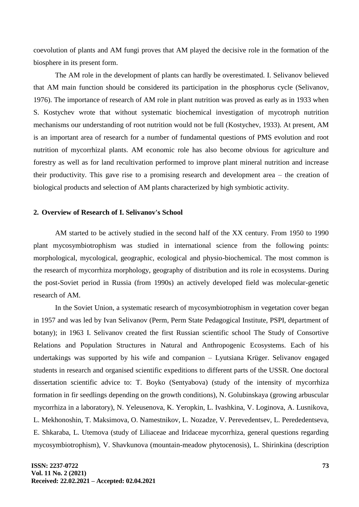coevolution of plants and AM fungi proves that AM played the decisive role in the formation of the biosphere in its present form.

The AM role in the development of plants can hardly be overestimated. I. Selivanov believed that AM main function should be considered its participation in the phosphorus cycle (Selivanov, 1976). The importance of research of AM role in plant nutrition was proved as early as in 1933 when S. Kostychev wrote that without systematic biochemical investigation of mycotroph nutrition mechanisms our understanding of root nutrition would not be full (Kostychev, 1933). At present, AM is an important area of research for a number of fundamental questions of PMS evolution and root nutrition of mycorrhizal plants. AM economic role has also become obvious for agriculture and forestry as well as for land recultivation performed to improve plant mineral nutrition and increase their productivity. This gave rise to a promising research and development area – the creation of biological products and selection of AM plants characterized by high symbiotic activity.

#### **2. Overview of Research of I. Selivanov's School**

AM started to be actively studied in the second half of the XX century. From 1950 to 1990 plant mycosymbiotrophism was studied in international science from the following points: morphological, mycological, geographic, ecological and physio-biochemical. The most common is the research of mycorrhiza morphology, geography of distribution and its role in ecosystems. During the post-Soviet period in Russia (from 1990s) an actively developed field was molecular-genetic research of AM.

In the Soviet Union, a systematic research of mycosymbiotrophism in vegetation cover began in 1957 and was led by Ivan Selivanov (Perm, Perm State Pedagogical Institute, PSPI, department of botany); in 1963 I. Selivanov created the first Russian scientific school The Study of Consortive Relations and Population Structures in Natural and Anthropogenic Ecosystems. Each of his undertakings was supported by his wife and companion – Lyutsiana Krüger. Selivanov engaged students in research and organised scientific expeditions to different parts of the USSR. One doctoral dissertation scientific advice to: T. Boyko (Sentyabova) (study of the intensity of mycorrhiza formation in fir seedlings depending on the growth conditions), N. Golubinskaya (growing arbuscular mycorrhiza in a laboratory), N. Yeleusenova, K. Yeropkin, L. Ivashkina, V. Loginova, A. Lusnikova, L. Mekhonoshin, T. Maksimova, O. Namestnikov, L. Nozadze, V. Perevedentsev, L. Perededentseva, E. Shkaraba, L. Utemova (study of Liliaceae and Iridaceae mycorrhiza, general questions regarding mycosymbiotrophism), V. Shavkunova (mountain-meadow phytocenosis), L. Shirinkina (description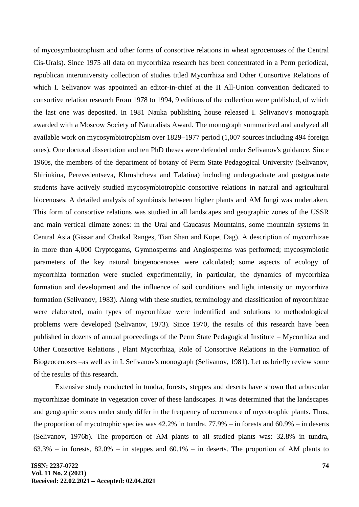of mycosymbiotrophism and other forms of consortive relations in wheat agrocenoses of the Central Cis-Urals). Since 1975 all data on mycorrhiza research has been concentrated in a Perm periodical, republican interuniversity collection of studies titled Mycorrhiza and Other Consortive Relations of which I. Selivanov was appointed an editor-in-chief at the II All-Union convention dedicated to consortive relation research From 1978 to 1994, 9 editions of the collection were published, of which the last one was deposited. In 1981 Nauka publishing house released I. Selivanov's monograph awarded with a Moscow Society of Naturalists Award. The monograph summarized and analyzed all available work on mycosymbiotrophism over 1829–1977 period (1,007 sources including 494 foreign ones). One doctoral dissertation and ten PhD theses were defended under Selivanov's guidance. Since 1960s, the members of the department of botany of Perm State Pedagogical University (Selivanov, Shirinkina, Perevedentseva, Khrushcheva and Talatina) including undergraduate and postgraduate students have actively studied mycosymbiotrophic consortive relations in natural and agricultural biocenoses. A detailed analysis of symbiosis between higher plants and AM fungi was undertaken. This form of consortive relations was studied in all landscapes and geographic zones of the USSR and main vertical climate zones: in the Ural and Caucasus Mountains, some mountain systems in Central Asia (Gissar and Chatkal Ranges, Tian Shan and Kopet Dag). A description of mycorrhizae in more than 4,000 Cryptogams, Gymnosperms and Angiosperms was performed; mycosymbiotic parameters of the key natural biogenocenoses were calculated; some aspects of ecology of mycorrhiza formation were studied experimentally, in particular, the dynamics of mycorrhiza formation and development and the influence of soil conditions and light intensity on mycorrhiza formation (Selivanov, 1983). Along with these studies, terminology and classification of mycorrhizae were elaborated, main types of mycorrhizae were indentified and solutions to methodological problems were developed (Selivanov, 1973). Since 1970, the results of this research have been published in dozens of annual proceedings of the Perm State Pedagogical Institute – Mycorrhiza and Other Consortive Relations , Plant Mycorrhiza, Role of Consortive Relations in the Formation of Biogeocenoses –as well as in I. Selivanov's monograph (Selivanov, 1981). Let us briefly review some of the results of this research.

Extensive study conducted in tundra, forests, steppes and deserts have shown that arbuscular mycorrhizae dominate in vegetation cover of these landscapes. It was determined that the landscapes and geographic zones under study differ in the frequency of occurrence of mycotrophic plants. Thus, the proportion of mycotrophic species was 42.2% in tundra, 77.9% – in forests and 60.9% – in deserts (Selivanov, 1976b). The proportion of AM plants to all studied plants was: 32.8% in tundra,  $63.3\%$  – in forests,  $82.0\%$  – in steppes and  $60.1\%$  – in deserts. The proportion of AM plants to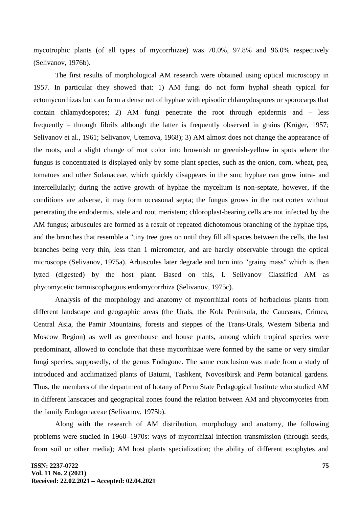mycotrophic plants (of all types of mycorrhizae) was 70.0%, 97.8% and 96.0% respectively (Selivanov, 1976b).

The first results of morphological AM research were obtained using optical microscopy in 1957. In particular they showed that: 1) AM fungi do not form hyphal sheath typical for ectomycorrhizas but can form a dense net of hyphae with episodic chlamydospores or sporocarps that contain chlamydospores; 2) AM fungi penetrate the root through epidermis and – less frequently – through fibrils although the latter is frequently observed in grains (Krüger, 1957; Selivanov et al., 1961; Selivanov, Utemova, 1968); 3) AM almost does not change the appearance of the roots, and a slight change of root color into brownish or greenish-yellow in spots where the fungus is concentrated is displayed only by some plant species, such as the onion, corn, wheat, pea, tomatoes and other Solanaceae, which quickly disappears in the sun; hyphae can grow intra- and intercellularly; during the active growth of hyphae the mycelium is non-septate, however, if the conditions are adverse, it may form occasonal septa; the fungus grows in the root cortex without penetrating the endodermis, stele and root meristem; chloroplast-bearing cells are not infected by the AM fungus; arbuscules are formed as a result of repeated dichotomous branching of the hyphae tips, and the branches that resemble a "tiny tree goes on until they fill all spaces between the cells, the last branches being very thin, less than 1 micrometer, and are hardly observable through the optical microscope (Selivanov, 1975a). Arbuscules later degrade and turn into "grainy mass" which is then lyzed (digested) by the host plant. Based on this, I. Selivanov Classified AM as phycomycetic tamniscophagous endomycorrhiza (Selivanov, 1975c).

Analysis of the morphology and anatomy of mycorrhizal roots of herbacious plants from different landscape and geographic areas (the Urals, the Kola Peninsula, the Caucasus, Crimea, Central Asia, the Pamir Mountains, forests and steppes of the Trans-Urals, Western Siberia and Moscow Region) as well as greenhouse and house plants, among which tropical species were predominant, allowed to conclude that these mycorrhizae were formed by the same or very similar fungi species, supposedly, of the genus Endogone. The same conclusion was made from a study of introduced and acclimatized plants of Batumi, Tashkent, Novosibirsk and Perm botanical gardens. Thus, the members of the department of botany of Perm State Pedagogical Institute who studied AM in different lanscapes and geograpical zones found the relation between AM and phycomycetes from the family Endogonaceae (Selivanov, 1975b).

Along with the research of AM distribution, morphology and anatomy, the following problems were studied in 1960–1970s: ways of mycorrhizal infection transmission (through seeds, from soil or other media); AM host plants specialization; the ability of different exophytes and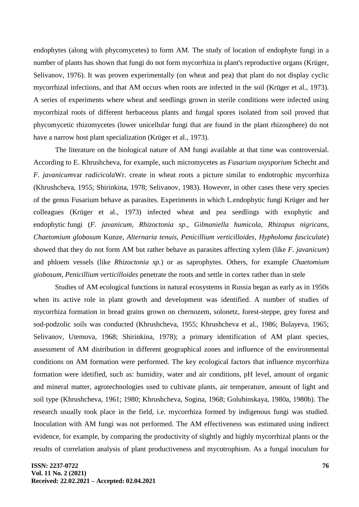endophytes (along with phycomycetes) to form AM. The study of location of endophyte fungi in a number of plants has shown that fungi do not form mycorrhiza in plant's reproductive organs (Krüger, Selivanov, 1976). It was proven experimentally (on wheat and pea) that plant do not display cyclic mycorrhizal infections, and that AM occurs when roots are infected in the soil (Krüger et al., 1973). A series of experiments where wheat and seedlings grown in sterile conditions were infected using mycorrhizal roots of different herbaceous plants and fungal spores isolated from soil proved that phycomycetic rhizomycetes (lower unicellular fungi that are found in the plant rhizosphere) do not have a narrow host plant specialization (Krüger et al., 1973).

The literature on the biological nature of AM fungi available at that time was controversial. According to E. Khrushcheva, for example, such micromycetes as *Fusarium oxysporium* Schecht and *F. javanicum*var *radicicola*Wr. create in wheat roots a picture similar to endotrophic mycorrhiza (Khrushcheva, 1955; Shirinkina, 1978; Selivanov, 1983). However, in other cases these very species of the genus Fusarium behave as parasites. Experiments in which L.endophytic fungi Krüger and her colleagues (Krüger et al., 1973) infected wheat and pea seedlings with exophytic and endophytic fungi (*F. javanicum*, *Rhizoctonia sp.*, *Gilmaniella humicola*, *Rhizopus nigricans*, *Chaetomium globosum* Kunze, *Alternaria tenuis*, *Penicillium verticilloides*, *Hypholoma fasciculate*) showed that they do not form AM but rather behave as parasites affecting xylem (like *F. javanicum*) and phloem vessels (like *Rhizoctonia sp.*) or as saprophytes. Others, for example *Chaetomium giobosum*, *Penicillium verticilloides* penetrate the roots and settle in cortex rather than in stele

Studies of AM ecological functions in natural ecosystems in Russia began as early as in 1950s when its active role in plant growth and development was identified. A number of studies of mycorrhiza formation in bread grains grown on chernozem, solonetz, forest-steppe, grey forest and sod-podzolic soils was conducted (Khrushcheva, 1955; Khrushcheva et al., 1986; Bulayeva, 1965; Selivanov, Utemova, 1968; Shirinkina, 1978); a primary identification of AM plant species, assessment of AM distribution in different geographical zones and influence of the environmental conditions on AM formation were performed. The key ecological factors that influence mycorrhiza formation were idetified, such as: humidity, water and air conditions, pH level, amount of organic and mineral matter, agrotechnologies used to cultivate plants, air temperature, amount of light and soil type (Khrushcheva, 1961; 1980; Khrushcheva, Sogina, 1968; Golubinskaya, 1980a, 1980b). The research usually took place in the field, i.e. mycorrhiza formed by indigenous fungi was studied. Inoculation with AM fungi was not performed. The AM effectiveness was estimated using indirect evidence, for example, by comparing the productivity of slightly and highly mycorrhizal plants or the results of correlation analysis of plant productiveness and mycotrophism. As a fungal inoculum for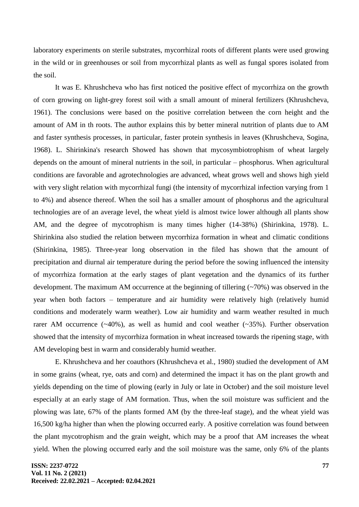laboratory experiments on sterile substrates, mycorrhizal roots of different plants were used growing in the wild or in greenhouses or soil from mycorrhizal plants as well as fungal spores isolated from the soil.

It was E. Khrushcheva who has first noticed the positive effect of mycorrhiza on the growth of corn growing on light-grey forest soil with a small amount of mineral fertilizers (Khrushcheva, 1961). The conclusions were based on the positive correlation between the corn height and the amount of AM in th roots. The author explains this by better mineral nutrition of plants due to AM and faster synthesis processes, in particular, faster protein synthesis in leaves (Khrushcheva, Sogina, 1968). L. Shirinkina's research Showed has shown that mycosymbiotrophism of wheat largely depends on the amount of mineral nutrients in the soil, in particular – phosphorus. When agricultural conditions are favorable and agrotechnologies are advanced, wheat grows well and shows high yield with very slight relation with mycorrhizal fungi (the intensity of mycorrhizal infection varying from 1 to 4%) and absence thereof. When the soil has a smaller amount of phosphorus and the agricultural technologies are of an average level, the wheat yield is almost twice lower although all plants show AM, and the degree of mycotrophism is many times higher (14-38%) (Shirinkina, 1978). L. Shirinkina also studied the relation between mycorrhiza formation in wheat and climatic conditions (Shirinkina, 1985). Three-year long observation in the filed has shown that the amount of precipitation and diurnal air temperature during the period before the sowing influenced the intensity of mycorrhiza formation at the early stages of plant vegetation and the dynamics of its further development. The maximum AM occurrence at the beginning of tillering  $(\sim 70\%)$  was observed in the year when both factors – temperature and air humidity were relatively high (relatively humid conditions and moderately warm weather). Low air humidity and warm weather resulted in much rarer AM occurrence  $(\sim 40\%)$ , as well as humid and cool weather  $(\sim 35\%)$ . Further observation showed that the intensity of mycorrhiza formation in wheat increased towards the ripening stage, with AM developing best in warm and considerably humid weather.

E. Khrushcheva and her coauthors (Khrushcheva et al., 1980) studied the development of AM in some grains (wheat, rye, oats and corn) and determined the impact it has on the plant growth and yields depending on the time of plowing (early in July or late in October) and the soil moisture level especially at an early stage of AM formation. Thus, when the soil moisture was sufficient and the plowing was late, 67% of the plants formed AM (by the three-leaf stage), and the wheat yield was 16,500 kg/ha higher than when the plowing occurred early. A positive correlation was found between the plant mycotrophism and the grain weight, which may be a proof that AM increases the wheat yield. When the plowing occurred early and the soil moisture was the same, only 6% of the plants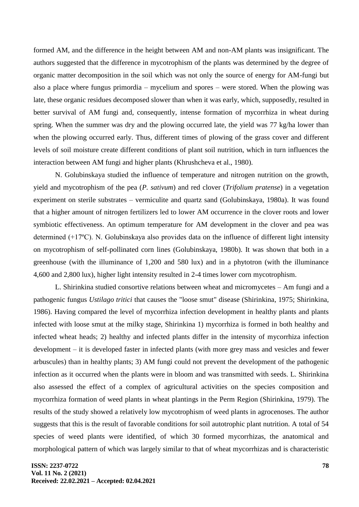formed AM, and the difference in the height between AM and non-AM plants was insignificant. The authors suggested that the difference in mycotrophism of the plants was determined by the degree of organic matter decomposition in the soil which was not only the source of energy for AM-fungi but also a place where fungus primordia – mycelium and spores – were stored. When the plowing was late, these organic residues decomposed slower than when it was early, which, supposedly, resulted in better survival of AM fungi and, consequently, intense formation of mycorrhiza in wheat during spring. When the summer was dry and the plowing occurred late, the yield was 77 kg/ha lower than when the plowing occurred early. Thus, different times of plowing of the grass cover and different levels of soil moisture create different conditions of plant soil nutrition, which in turn influences the interaction between AM fungi and higher plants (Khrushcheva et al., 1980).

N. Golubinskaya studied the influence of temperature and nitrogen nutrition on the growth, yield and mycotrophism of the pea (*P. sativum*) and red clover (*Trifolium pratense*) in a vegetation experiment on sterile substrates – vermiculite and quartz sand (Golubinskaya, 1980a). It was found that a higher amount of nitrogen fertilizers led to lower AM occurrence in the clover roots and lower symbiotic effectiveness. An optimum temperature for AM development in the clover and pea was determined (+17ºС). N. Golubinskaya also provides data on the influence of different light intensity on mycotrophism of self-pollinated corn lines (Golubinskaya, 1980b). It was shown that both in a greenhouse (with the illuminance of 1,200 and 580 lux) and in a phytotron (with the illuminance 4,600 and 2,800 lux), higher light intensity resulted in 2-4 times lower corn mycotrophism.

L. Shirinkina studied consortive relations between wheat and micromycetes – Am fungi and a pathogenic fungus *Ustilago tritici* that causes the "loose smut" disease (Shirinkina, 1975; Shirinkina, 1986). Having compared the level of mycorrhiza infection development in healthy plants and plants infected with loose smut at the milky stage, Shirinkina 1) mycorrhiza is formed in both healthy and infected wheat heads; 2) healthy and infected plants differ in the intensity of mycorrhiza infection development – it is developed faster in infected plants (with more grey mass and vesicles and fewer arbuscules) than in healthy plants; 3) AM fungi could not prevent the development of the pathogenic infection as it occurred when the plants were in bloom and was transmitted with seeds. L. Shirinkina also assessed the effect of a complex of agricultural activities on the species composition and mycorrhiza formation of weed plants in wheat plantings in the Perm Region (Shirinkina, 1979). The results of the study showed a relatively low mycotrophism of weed plants in agrocenoses. The author suggests that this is the result of favorable conditions for soil autotrophic plant nutrition. A total of 54 species of weed plants were identified, of which 30 formed mycorrhizas, the anatomical and morphological pattern of which was largely similar to that of wheat mycorrhizas and is characteristic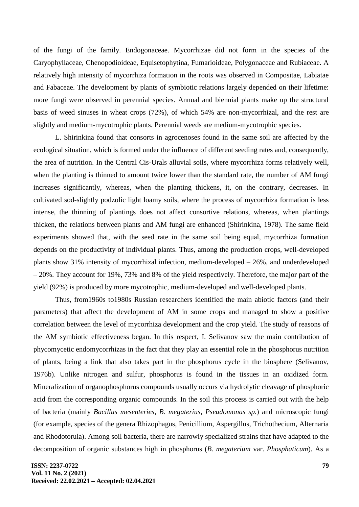of the fungi of the family. Endogonaceae. Mycorrhizae did not form in the species of the Caryophyllaceae, Chenopodioideae, Equisetophytina, Fumarioideae, Polygonaceae and Rubiaceae. A relatively high intensity of mycorrhiza formation in the roots was observed in Compositae, Labiatae and Fabaceae. The development by plants of symbiotic relations largely depended on their lifetime: more fungi were observed in perennial species. Annual and biennial plants make up the structural basis of weed sinuses in wheat crops (72%), of which 54% are non-mycorrhizal, and the rest are slightly and medium-mycotrophic plants. Perennial weeds are medium-mycotrophic species.

L. Shirinkina found that consorts in agrocenoses found in the same soil are affected by the ecological situation, which is formed under the influence of different seeding rates and, consequently, the area of nutrition. In the Central Cis-Urals alluvial soils, where mycorrhiza forms relatively well, when the planting is thinned to amount twice lower than the standard rate, the number of AM fungi increases significantly, whereas, when the planting thickens, it, on the contrary, decreases. In cultivated sod-slightly podzolic light loamy soils, where the process of mycorrhiza formation is less intense, the thinning of plantings does not affect consortive relations, whereas, when plantings thicken, the relations between plants and AM fungi are enhanced (Shirinkina, 1978). The same field experiments showed that, with the seed rate in the same soil being equal, mycorrhiza formation depends on the productivity of individual plants. Thus, among the production crops, well-developed plants show 31% intensity of mycorrhizal infection, medium-developed – 26%, and underdeveloped – 20%. They account for 19%, 73% and 8% of the yield respectively. Therefore, the major part of the yield (92%) is produced by more mycotrophic, medium-developed and well-developed plants.

Thus, from1960s to1980s Russian researchers identified the main abiotic factors (and their parameters) that affect the development of AM in some crops and managed to show a positive correlation between the level of mycorrhiza development and the crop yield. The study of reasons of the AM symbiotic effectiveness began. In this respect, I. Selivanov saw the main contribution of phycomycetic endomycorrhizas in the fact that they play an essential role in the phosphorus nutrition of plants, being a link that also takes part in the phosphorus cycle in the biosphere (Selivanov, 1976b). Unlike nitrogen and sulfur, phosphorus is found in the tissues in an oxidized form. Mineralization of organophosphorus compounds usually occurs via hydrolytic cleavage of phosphoric acid from the corresponding organic compounds. In the soil this process is carried out with the help of bacteria (mainly *Bacillus mesenteries*, *B. megaterius*, *Pseudomonas sp.*) and microscopic fungi (for example, species of the genera Rhizophagus, Penicillium, Aspergillus, Trichothecium, Alternaria and Rhodotorula). Among soil bacteria, there are narrowly specialized strains that have adapted to the decomposition of organic substances high in phosphorus (*B. megaterium* var. *Phosphaticum*). As a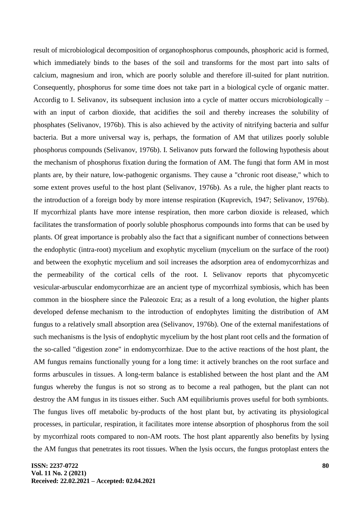result of microbiological decomposition of organophosphorus compounds, phosphoric acid is formed, which immediately binds to the bases of the soil and transforms for the most part into salts of calcium, magnesium and iron, which are poorly soluble and therefore ill-suited for plant nutrition. Consequently, phosphorus for some time does not take part in a biological cycle of organic matter. Accordig to I. Selivanov, its subsequent inclusion into a cycle of matter occurs microbiologically – with an input of carbon dioxide, that acidifies the soil and thereby increases the solubility of phosphates (Selivanov, 1976b). This is also achieved by the activity of nitrifying bacteria and sulfur bacteria. But a more universal way is, perhaps, the formation of AM that utilizes poorly soluble phosphorus compounds (Selivanov, 1976b). I. Selivanov puts forward the following hypothesis about the mechanism of phosphorus fixation during the formation of AM. The fungi that form AM in most plants are, by their nature, low-pathogenic organisms. They cause a "chronic root disease," which to some extent proves useful to the host plant (Selivanov, 1976b). As a rule, the higher plant reacts to the introduction of a foreign body by more intense respiration (Kuprevich, 1947; Selivanov, 1976b). If mycorrhizal plants have more intense respiration, then more carbon dioxide is released, which facilitates the transformation of poorly soluble phosphorus compounds into forms that can be used by plants. Of great importance is probably also the fact that a significant number of connections between the endophytic (intra-root) mycelium and exophytic mycelium (mycelium on the surface of the root) and between the exophytic mycelium and soil increases the adsorption area of endomycorrhizas and the permeability of the cortical cells of the root. I. Selivanov reports that phycomycetic vesicular-arbuscular endomycorrhizae are an ancient type of mycorrhizal symbiosis, which has been common in the biosphere since the Paleozoic Era; as a result of a long evolution, the higher plants developed defense mechanism to the introduction of endophytes limiting the distribution of AM fungus to a relatively small absorption area (Selivanov, 1976b). One of the external manifestations of such mechanisms is the lysis of endophytic mycelium by the host plant root cells and the formation of the so-called "digestion zone" in endomycorrhizae. Due to the active reactions of the host plant, the AM fungus remains functionally young for a long time: it actively branches on the root surface and forms arbuscules in tissues. A long-term balance is established between the host plant and the AM fungus whereby the fungus is not so strong as to become a real pathogen, but the plant can not destroy the AM fungus in its tissues either. Such AM equilibriumis proves useful for both symbionts. The fungus lives off metabolic by-products of the host plant but, by activating its physiological processes, in particular, respiration, it facilitates more intense absorption of phosphorus from the soil by mycorrhizal roots compared to non-AM roots. The host plant apparently also benefits by lysing the AM fungus that penetrates its root tissues. When the lysis occurs, the fungus protoplast enters the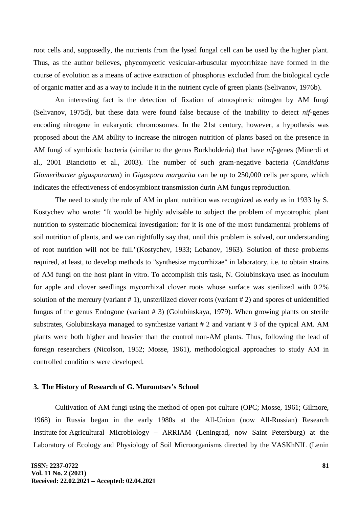root cells and, supposedly, the nutrients from the lysed fungal cell can be used by the higher plant. Thus, as the author believes, phycomycetic vesicular-arbuscular mycorrhizae have formed in the course of evolution as a means of active extraction of phosphorus excluded from the biological cycle of organic matter and as a way to include it in the nutrient cycle of green plants (Selivanov, 1976b).

An interesting fact is the detection of fixation of atmospheric nitrogen by AM fungi (Selivanov, 1975d), but these data were found false because of the inability to detect *nif*-genes encoding nitrogene in eukaryotic chromosomes. In the 21st century, however, a hypothesis was proposed about the AM ability to increase the nitrogen nutrition of plants based on the presence in AM fungi of symbiotic bacteria (similar to the genus Burkholderia) that have *nif*-genes (Minerdi et al., 2001 Bianciotto et al., 2003). The number of such gram-negative bacteria (*Candidatus Glomeribacter gigasporarum*) in *Gigaspora margarita* can be up to 250,000 cells per spore, which indicates the effectiveness of endosymbiont transmission durin AM fungus reproduction.

The need to study the role of AM in plant nutrition was recognized as early as in 1933 by S. Kostychev who wrote: "It would be highly advisable to subject the problem of mycotrophic plant nutrition to systematic biochemical investigation: for it is one of the most fundamental problems of soil nutrition of plants, and we can rightfully say that, until this problem is solved, our understanding of root nutrition will not be full."(Kostychev, 1933; Lobanov, 1963). Solution of these problems required, at least, to develop methods to "synthesize mycorrhizae" in laboratory, i.e. to obtain strains of AM fungi on the host plant in vitro. To accomplish this task, N. Golubinskaya used as inoculum for apple and clover seedlings mycorrhizal clover roots whose surface was sterilized with 0.2% solution of the mercury (variant # 1), unsterilized clover roots (variant # 2) and spores of unidentified fungus of the genus Endogone (variant # 3) (Golubinskaya, 1979). When growing plants on sterile substrates, Golubinskaya managed to synthesize variant # 2 and variant # 3 of the typical AM. AM plants were both higher and heavier than the control non-AM plants. Thus, following the lead of foreign researchers (Nicolson, 1952; Mosse, 1961), methodological approaches to study AM in controlled conditions were developed.

### **3. The History of Research of G. Muromtsev's School**

Cultivation of AM fungi using the method of open-pot culture (OPC; Mosse, 1961; Gilmore, 1968) in Russia began in the early 1980s at the All-Union (now All-Russian) Research Institute for Agricultural Microbiology – ARRIAM (Leningrad, now Saint Petersburg) at the Laboratory of Ecology and Physiology of Soil Microorganisms directed by the VASKhNIL (Lenin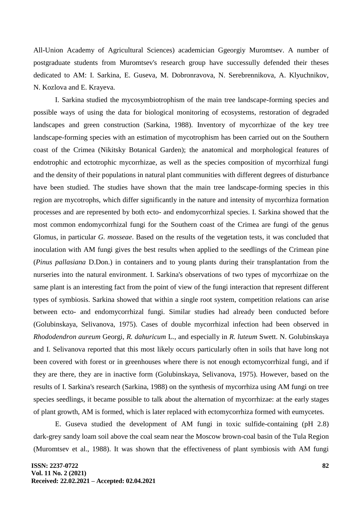All-Union Academy of Agricultural Sciences) academician Ggeorgiy Muromtsev. A number of postgraduate students from Muromtsev's research group have successully defended their theses dedicated to AM: I. Sarkina, E. Guseva, M. Dobronravova, N. Serebrennikova, A. Klyuchnikov, N. Kozlova and E. Krayeva.

I. Sarkina studied the mycosymbiotrophism of the main tree landscape-forming species and possible ways of using the data for biological monitoring of ecosystems, restoration of degraded landscapes and green construction (Sarkina, 1988). Inventory of mycorrhizae of the key tree landscape-forming species with an estimation of mycotrophism has been carried out on the Southern coast of the Crimea (Nikitsky Botanical Garden); the anatomical and morphological features of endotrophic and ectotrophic mycorrhizae, as well as the species composition of mycorrhizal fungi and the density of their populations in natural plant communities with different degrees of disturbance have been studied. The studies have shown that the main tree landscape-forming species in this region are mycotrophs, which differ significantly in the nature and intensity of mycorrhiza formation processes and are represented by both ecto- and endomycorrhizal species. I. Sarkina showed that the most common endomycorrhizal fungi for the Southern coast of the Crimea are fungi of the genus Glomus, in particular *G. mosseae*. Based on the results of the vegetation tests, it was concluded that inoculation with AM fungi gives the best results when applied to the seedlings of the Crimean pine (*Pinus pallasiana* D.Don.) in containers and to young plants during their transplantation from the nurseries into the natural environment. I. Sarkina's observations of two types of mycorrhizae on the same plant is an interesting fact from the point of view of the fungi interaction that represent different types of symbiosis. Sarkina showed that within a single root system, competition relations can arise between ecto- and endomycorrhizal fungi. Similar studies had already been conducted before (Golubinskaya, Selivanova, 1975). Cases of double mycorrhizal infection had been observed in *Rhododendron aureum* Georgi, *R. dahuricum* L., and especially in *R. luteum* Swett. N. Golubinskaya and I. Selivanova reported that this most likely occurs particularly often in soils that have long not been covered with forest or in greenhouses where there is not enough ectomycorrhizal fungi, and if they are there, they are in inactive form (Golubinskaya, Selivanova, 1975). However, based on the results of I. Sarkina's research (Sarkina, 1988) on the synthesis of mycorrhiza using AM fungi on tree species seedlings, it became possible to talk about the alternation of mycorrhizae: at the early stages of plant growth, AM is formed, which is later replaced with ectomycorrhiza formed with eumycetes.

E. Guseva studied the development of AM fungi in toxic sulfide-containing (pH 2.8) dark-grey sandy loam soil above the coal seam near the Moscow brown-coal basin of the Tula Region (Muromtsev et al., 1988). It was shown that the effectiveness of plant symbiosis with AM fungi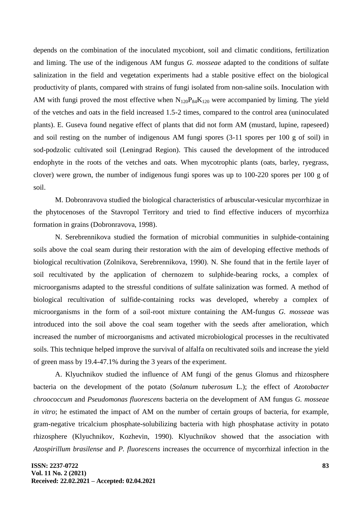depends on the combination of the inoculated mycobiont, soil and climatic conditions, fertilization and liming. The use of the indigenous AM fungus *G. mosseae* adapted to the conditions of sulfate salinization in the field and vegetation experiments had a stable positive effect on the biological productivity of plants, compared with strains of fungi isolated from non-saline soils. Inoculation with AM with fungi proved the most effective when  $N_{120}P_{84}K_{120}$  were accompanied by liming. The yield of the vetches and oats in the field increased 1.5-2 times, compared to the control area (uninoculated plants). E. Guseva found negative effect of plants that did not form AM (mustard, lupine, rapeseed) and soil resting on the number of indigenous AM fungi spores (3-11 spores per 100 g of soil) in sod-podzolic cultivated soil (Leningrad Region). This caused the development of the introduced endophyte in the roots of the vetches and oats. When mycotrophic plants (oats, barley, ryegrass, clover) were grown, the number of indigenous fungi spores was up to 100-220 spores per 100 g of soil.

M. Dobronravova studied the biological characteristics of arbuscular-vesicular mycorrhizae in the phytocenoses of the Stavropol Territory and tried to find effective inducers of mycorrhiza formation in grains (Dobronravova, 1998).

N. Serebrennikova studied the formation of microbial communities in sulphide-containing soils above the coal seam during their restoration with the aim of developing effective methods of biological recultivation (Zolnikova, Serebrennikova, 1990). N. She found that in the fertile layer of soil recultivated by the application of chernozem to sulphide-bearing rocks, a complex of microorganisms adapted to the stressful conditions of sulfate salinization was formed. A method of biological recultivation of sulfide-containing rocks was developed, whereby a complex of microorganisms in the form of a soil-root mixture containing the AM-fungus *G. mosseae* was introduced into the soil above the coal seam together with the seeds after amelioration, which increased the number of microorganisms and activated microbiological processes in the recultivated soils. This technique helped improve the survival of alfalfa on recultivated soils and increase the yield of green mass by 19.4-47.1% during the 3 years of the experiment.

A. Klyuchnikov studied the influence of AM fungi of the genus Glomus and rhizosphere bacteria on the development of the potato (*Solanum tuberosum* L.); the effect of *Azotobacter chroococcum* and *Pseudomonas fluorescens* bacteria on the development of AM fungus *G. mosseae in vitro*; he estimated the impact of AM on the number of certain groups of bacteria, for example, gram-negative tricalcium phosphate-solubilizing bacteria with high phosphatase activity in potato rhizosphere (Klyuchnikov, Kozhevin, 1990). Klyuchnikov showed that the association with *Azospirillum brasilense* and *P. fluorescens* increases the occurrence of mycorrhizal infection in the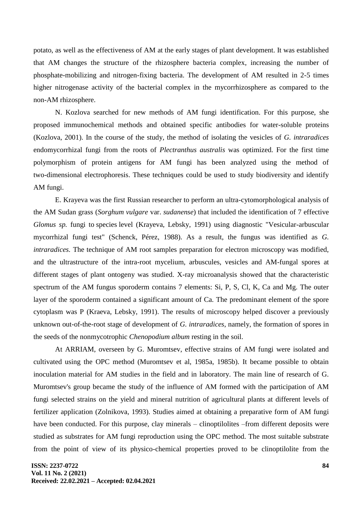potato, as well as the effectiveness of AM at the early stages of plant development. It was established that AM changes the structure of the rhizosphere bacteria complex, increasing the number of phosphate-mobilizing and nitrogen-fixing bacteria. The development of AM resulted in 2-5 times higher nitrogenase activity of the bacterial complex in the mycorrhizosphere as compared to the non-AM rhizosphere.

N. Kozlova searched for new methods of AM fungi identification. For this purpose, she proposed immunochemical methods and obtained specific antibodies for water-soluble proteins (Kozlova, 2001). In the course of the study, the method of isolating the vesicles of *G. intraradices* endomycorrhizal fungi from the roots of *Plectranthus australis* was optimized. For the first time polymorphism of protein antigens for AM fungi has been analyzed using the method of two-dimensional electrophoresis. These techniques could be used to study biodiversity and identify AM fungi.

E. Krayeva was the first Russian researcher to perform an ultra-cytomorphological analysis of the AM Sudan grass (*Sorghum vulgare* var. *sudanense*) that included the identification of 7 effective *Glomus sp.* fungi to species level (Krayeva, Lebsky, 1991) using diagnostic "Vesicular-arbuscular mycorrhizal fungi test" (Schenck, Pérez, 1988). As a result, the fungus was identified as *G. intraradices.* The technique of AM root samples preparation for electron microscopy was modified, and the ultrastructure of the intra-root mycelium, arbuscules, vesicles and AM-fungal spores at different stages of plant ontogeny was studied. X-ray microanalysis showed that the characteristic spectrum of the AM fungus sporoderm contains 7 elements: Si, P, S, Cl, K, Ca and Mg. The outer layer of the sporoderm contained a significant amount of Ca. The predominant element of the spore cytoplasm was P (Kraeva, Lebsky, 1991). The results of microscopy helped discover a previously unknown out-of-the-root stage of development of *G. intraradices*, namely, the formation of spores in the seeds of the nonmycotrophic *Chenopodium album* resting in the soil.

At ARRIAM, overseen by G. Muromtsev, effective strains of AM fungi were isolated and cultivated using the OPC method (Muromtsev et al, 1985a, 1985b). It became possible to obtain inoculation material for AM studies in the field and in laboratory. The main line of research of G. Muromtsev's group became the study of the influence of AM formed with the participation of AM fungi selected strains on the yield and mineral nutrition of agricultural plants at different levels of fertilizer application (Zolnikova, 1993). Studies aimed at obtaining a preparative form of AM fungi have been conducted. For this purpose, clay minerals – clinoptilolites –from different deposits were studied as substrates for AM fungi reproduction using the OPC method. The most suitable substrate from the point of view of its physico-chemical properties proved to be clinoptilolite from the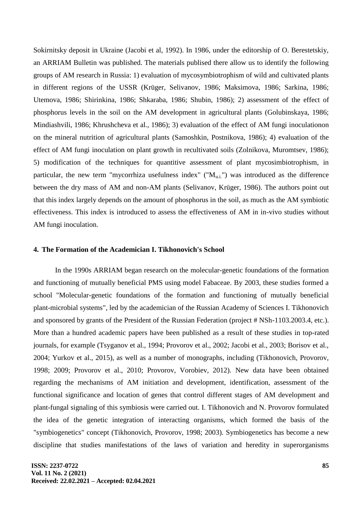Sokirnitsky deposit in Ukraine (Jacobi et al, 1992). In 1986, under the editorship of O. Berestetskiy, an ARRIAM Bulletin was published. The materials publised there allow us to identify the following groups of AM research in Russia: 1) evaluation of mycosymbiotrophism of wild and cultivated plants in different regions of the USSR (Krüger, Selivanov, 1986; Maksimova, 1986; Sarkina, 1986; Utemova, 1986; Shirinkina, 1986; Shkaraba, 1986; Shubin, 1986); 2) assessment of the effect of phosphorus levels in the soil on the AM development in agricultural plants (Golubinskaya, 1986; Mindiashvili, 1986; Khrushcheva et al., 1986); 3) evaluation of the effect of AM fungi inoculationon on the mineral nutrition of agricultural plants (Samoshkin, Postnikova, 1986); 4) evaluation of the effect of AM fungi inoculation on plant growth in recultivated soils (Zolnikova, Muromtsev, 1986); 5) modification of the techniques for quantitive assessment of plant mycosimbiotrophism, in particular, the new term "mycorrhiza usefulness index" (" $M_{\text{u.i.}}$ ") was introduced as the difference between the dry mass of AM and non-AM plants (Selivanov, Krüger, 1986). The authors point out that this index largely depends on the amount of phosphorus in the soil, as much as the AM symbiotic effectiveness. This index is introduced to assess the effectiveness of AM in in-vivo studies without AM fungi inoculation.

## **4. The Formation of the Academician I. Tikhonovich's School**

In the 1990s ARRIAM began research on the molecular-genetic foundations of the formation and functioning of mutually beneficial PMS using model Fabaceae. By 2003, these studies formed a school "Molecular-genetic foundations of the formation and functioning of mutually beneficial plant-microbial systems", led by the academician of the Russian Academy of Sciences I. Tikhonovich and sponsored by grants of the President of the Russian Federation (project # NSh-1103.2003.4, etc.). More than a hundred academic papers have been published as a result of these studies in top-rated journals, for example (Tsyganov et al., 1994; Provorov et al., 2002; Jacobi et al., 2003; Borisov et al., 2004; Yurkov et al., 2015), as well as a number of monographs, including (Tikhonovich, Provorov, 1998; 2009; Provorov et al., 2010; Provorov, Vorobiev, 2012). New data have been obtained regarding the mechanisms of AM initiation and development, identification, assessment of the functional significance and location of genes that control different stages of AM development and plant-fungal signaling of this symbiosis were carried out. I. Tikhonovich and N. Provorov formulated the idea of the genetic integration of interacting organisms, which formed the basis of the "symbiogenetics" concept (Tikhonovich, Provorov, 1998; 2003). Symbiogenetics has become a new discipline that studies manifestations of the laws of variation and heredity in superorganisms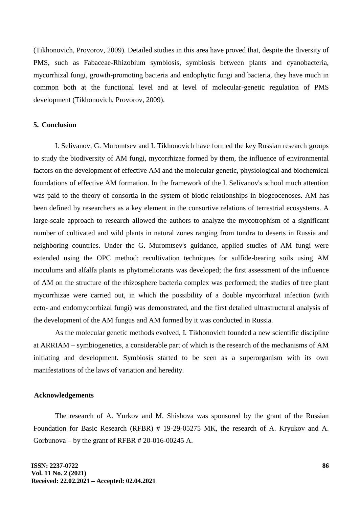(Tikhonovich, Provorov, 2009). Detailed studies in this area have proved that, despite the diversity of PMS, such as Fabaceae-Rhizobium symbiosis, symbiosis between plants and cyanobacteria, mycorrhizal fungi, growth-promoting bacteria and endophytic fungi and bacteria, they have much in common both at the functional level and at level of molecular-genetic regulation of PMS development (Tikhonovich, Provorov, 2009).

#### **5. Conclusion**

I. Selivanov, G. Muromtsev and I. Tikhonovich have formed the key Russian research groups to study the biodiversity of AM fungi, mycorrhizae formed by them, the influence of environmental factors on the development of effective AM and the molecular genetic, physiological and biochemical foundations of effective AM formation. In the framework of the I. Selivanov's school much attention was paid to the theory of consortia in the system of biotic relationships in biogeocenoses. AM has been defined by researchers as a key element in the consortive relations of terrestrial ecosystems. A large-scale approach to research allowed the authors to analyze the mycotrophism of a significant number of cultivated and wild plants in natural zones ranging from tundra to deserts in Russia and neighboring countries. Under the G. Muromtsev's guidance, applied studies of AM fungi were extended using the OPC method: recultivation techniques for sulfide-bearing soils using AM inoculums and alfalfa plants as phytomeliorants was developed; the first assessment of the influence of AM on the structure of the rhizosphere bacteria complex was performed; the studies of tree plant mycorrhizae were carried out, in which the possibility of a double mycorrhizal infection (with ecto- and endomycorrhizal fungi) was demonstrated, and the first detailed ultrastructural analysis of the development of the AM fungus and AM formed by it was conducted in Russia.

As the molecular genetic methods evolved, I. Tikhonovich founded a new scientific discipline at ARRIAM – symbiogenetics, a considerable part of which is the research of the mechanisms of AM initiating and development. Symbiosis started to be seen as a superorganism with its own manifestations of the laws of variation and heredity.

### **Acknowledgements**

The research of A. Yurkov and M. Shishova was sponsored by the grant of the Russian Foundation for Basic Research (RFBR) # 19-29-05275 MK, the research of A. Kryukov and A. Gorbunova – by the grant of RFBR  $# 20-016-00245$  A.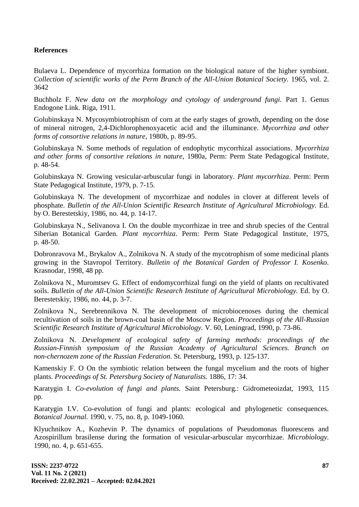## **References**

Bulaeva L. Dependence of mycorrhiza formation on the biological nature of the higher symbiont. *Collection of scientific works of the Perm Branch of the All-Union Botanical Society.* 1965, vol. 2. 3642

Buchholz F. *New data on the morphology and cytology of underground fungi.* Part 1. Genus Endogone Link. Riga, 1911.

Golubinskaya N. Mycosymbiotrophism of corn at the early stages of growth, depending on the dose of mineral nitrogen, 2,4-Dichlorophenoxyacetic acid and the illuminance. *Mycorrhiza and other forms of consortive relations in nature,* 1980b, p. 89-95.

Golubinskaya N. Some methods of regulation of endophytic mycorrhizal associations. *Mycorrhiza and other forms of consortive relations in nature*, 1980a, Perm: Perm State Pedagogical Institute, p. 48-54.

Golubinskaya N. Growing vesicular-arbuscular fungi in laboratory. *Plant mycorrhiza*. Perm: Perm State Pedagogical Institute, 1979, p. 7-15.

Golubinskaya N. The development of mycorrhizae and nodules in clover at different levels of phosphate. *Bulletin of the All-Union Scientific Research Institute of Agricultural Microbiology.* Ed. by O. Berestetskiy, 1986, no. 44, p. 14-17.

Golubinskaya N., Selivanova I. On the double mycorrhizae in tree and shrub species of the Central Siberian Botanical Garden. *Plant mycorrhiza*. Perm: Perm State Pedagogical Institute, 1975, p. 48-50.

Dobronravova M., Brykalov A., Zolnikova N. A study of the mycotrophism of some medicinal plants growing in the Stavropol Territory. *Bulletin of the Botanical Garden of Professor I. Kosenko.*  Krasnodar, 1998, 48 pp.

Zolnikova N., Muromtsev G. Effect of endomycorrhizal fungi on the yield of plants on recultivated soils. *Bulletin of the All-Union Scientific Research Institute of Agricultural Microbiology.* Ed. by O. Berestetskiy, 1986, no. 44, p. 3-7.

Zolnikova N., Serebrennikova N. The development of microbiocenoses during the chemical recultivation of soils in the brown-coal basin of the Moscow Region. *Proceedings of the All-Russian Scientific Research Institute of Agricultural Microbiology.* V. 60, Leningrad, 1990, p. 73-86.

Zolnikova N. *Development of ecological safety of farming methods: proceedings of the Russian-Finnish symposium of the Russian Academy of Agricultural Sciences. Branch on non-chernozem zone of the Russian Federation*. St. Petersburg, 1993, p. 125-137.

Kamenskiy F. O On the symbiotic relation between the fungal mycelium and the roots of higher plants. *Proceedings of St. Petersburg Society of Naturalists.* 1886, 17: 34.

Karatygin I. *Co-evolution of fungi and plants.* Saint Petersburg.: Gidrometeoizdat, 1993, 115 pp.

Karatygin I.V. Co-evolution of fungi and plants: ecological and phylogenetic consequences. *Botanical Journal.* 1990, v. 75, no. 8, p. 1049-1060.

Klyuchnikov A., Kozhevin P. The dynamics of populations of Pseudomonas fluorescens and Azospirillum brasilense during the formation of vesicular-arbuscular mycorrhizae. *Microbiology.* 1990, no. 4, p. 651-655.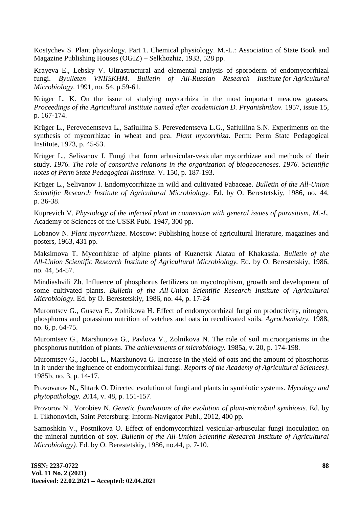Kostychev S. Plant physiology. Part 1. Chemical physiology. M.-L.: Association of State Book and Magazine Publishing Houses (OGIZ) – Selkhozhiz, 1933, 528 pp.

Krayeva E., Lebsky V. Ultrastructural and elemental analysis of sporoderm of endomycorrhizal fungi. *Byulleten VNIISKHM. Bulletin of All-Russian Research Institute for Agricultural Microbiology.* 1991, no. 54, p.59-61.

Krüger L. K. On the issue of studying mycorrhiza in the most important meadow grasses. *Proceedings of the Agricultural Institute named after academician D. Pryanishnikov.* 1957, issue 15, p. 167-174.

Krüger L., Perevedentseva L., Safiullina S. Perevedentseva L.G., Safiullina S.N. Experiments on the synthesis of mycorrhizae in wheat and pea. *Plant mycorrhiza*. Perm: Perm State Pedagogical Institute, 1973, p. 45-53.

Krüger L., Selivanov I. Fungi that form arbusicular-vesicular mycorrhizae and methods of their study. *1976. The role of consortive relations in the organization of biogeocenoses. 1976. Scientific notes of Perm State Pedagogical Institute.* V. 150, p. 187-193.

Krüger L., Selivanov I. Endomycorrhizae in wild and cultivated Fabaceae. *Bulletin of the All-Union Scientific Research Institute of Agricultural Microbiology.* Ed. by O. Berestetskiy, 1986, no. 44, p. 36-38.

Kuprevich V. *Physiology of the infected plant in connection with general issues of parasitism, M.-L.* Academy of Sciences of the USSR Publ. 1947, 300 pp.

Lobanov N. *Plant mycorrhizae.* Moscow: Publishing house of agricultural literature, magazines and posters, 1963, 431 pp.

Maksimova T. Mycorrhizae of alpine plants of Kuznetsk Alatau of Khakassia. *Bulletin of the All-Union Scientific Research Institute of Agricultural Microbiology.* Ed. by O. Berestetskiy, 1986, no. 44, 54-57.

Mindiashvili Zh. Influence of phosphorus fertilizers on mycotrophism, growth and development of some cultivated plants. *Bulletin of the All-Union Scientific Research Institute of Agricultural Microbiology.* Ed. by O. Berestetskiy, 1986, no. 44, p. 17-24

Muromtsev G., Guseva E., Zolnikova H. Effect of endomycorrhizal fungi on productivity, nitrogen, phosphorus and potassium nutrition of vetches and oats in recultivated soils. *Agrochemistry.* 1988, no. 6, p. 64-75.

Muromtsev G., Marshunova G., Pavlova V., Zolnikova N. The role of soil microorganisms in the phosphorus nutrition of plants. *The achievements of microbiology.* 1985a, v. 20, p. 174-198.

Muromtsev G., Jacobi L., Marshunova G. Increase in the yield of oats and the amount of phosphorus in it under the ingluence of endomycorrhizal fungi. *Reports of the Academy of Agricultural Sciences)*. 1985b, no. 3, p. 14-17.

Provovarov N., Shtark O. Directed evolution of fungi and plants in symbiotic systems. *Mycology and phytopathology.* 2014, v. 48, p. 151-157.

Provorov N., Vorobiev N. *Genetic foundations of the evolution of plant-microbial symbiosis.* Ed. by I. Tikhonovich, Saint Petersburg: Inform-Navigator Publ., 2012, 400 pp.

Samoshkin V., Postnikova O. Effect of endomycorrhizal vesicular-arbuscular fungi inoculation on the mineral nutrition of soy. *Bulletin of the All-Union Scientific Research Institute of Agricultural Microbiology).* Ed. by O. Berestetskiy, 1986, no.44, p. 7-10.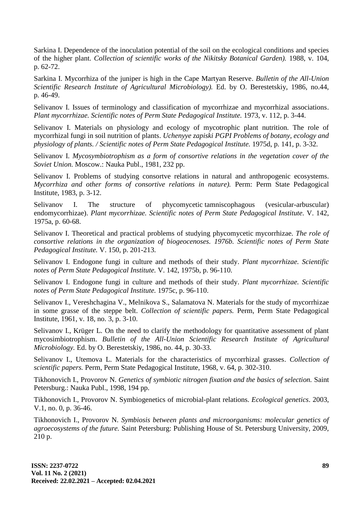Sarkina I. Dependence of the inoculation potential of the soil on the ecological conditions and species of the higher plant. *Collection of scientific works of the Nikitsky Botanical Garden).* 1988, v. 104, p. 62-72.

Sarkina I. Mycorrhiza of the juniper is high in the Cape Martyan Reserve. *Bulletin of the All-Union Scientific Research Institute of Agricultural Microbiology).* Ed. by O. Berestetskiy, 1986, no.44, p. 46-49.

Selivanov I. Issues of terminology and classification of mycorrhizae and mycorrhizal associations. *Plant mycorrhizae. Scientific notes of Perm State Pedagogical Institute.* 1973, v. 112, p. 3-44.

Selivanov I. Materials on physiology and ecology of mycotrophic plant nutrition. The role of mycorrhizal fungi in soil nutrition of plants. *Uchenyye zapiski PGPI Problems of botany, ecology and physiology of plants. / Scientific notes of Perm State Pedagogical Institute.* 1975d, p. 141, p. 3-32.

Selivanov I. *Mycosymbiotrophism as a form of consortive relations in the vegetation cover of the Soviet Union.* Moscow.: Nauka Publ., 1981, 232 pp.

Selivanov I. Problems of studying consortve relations in natural and anthropogenic ecosystems. *Mycorrhiza and other forms of consortive relations in nature).* Perm: Perm State Pedagogical Institute, 1983, p. 3-12.

Selivanov I. The structure of phycomycetic tamniscophagous (vesicular-arbuscular) endomycorrhizae). *Plant mycorrhizae. Scientific notes of Perm State Pedagogical Institute.* V. 142, 1975a, p. 60-68.

Selivanov I. Theoretical and practical problems of studying phycomycetic mycorrhizae. *The role of consortive relations in the organization of biogeocenoses. 1976b. Scientific notes of Perm State Pedagogical Institute.* V. 150, p. 201-213.

Selivanov I. Endogone fungi in culture and methods of their study. *Plant mycorrhizae. Scientific notes of Perm State Pedagogical Institute.* V. 142, 1975b, p. 96-110.

Selivanov I. Endogone fungi in culture and methods of their study. *Plant mycorrhizae. Scientific notes of Perm State Pedagogical Institute.* 1975c, p. 96-110.

Selivanov I., Vereshchagina V., Melnikova S., Salamatova N. Materials for the study of mycorrhizae in some grasse of the steppe belt. *Collection of scientific papers.* Perm, Perm State Pedagogical Institute, 1961, v. 18, no. 3, p. 3-10.

Selivanov I., Krüger L. On the need to clarify the methodology for quantitative assessment of plant mycosimbiotrophism. *Bulletin of the All-Union Scientific Research Institute of Agricultural Microbiology.* Ed. by O. Berestetskiy, 1986, no. 44, p. 30-33.

Selivanov I., Utemova L. Materials for the characteristics of mycorrhizal grasses. *Collection of scientific papers.* Perm, Perm State Pedagogical Institute, 1968, v. 64, p. 302-310.

Tikhonovich I., Provorov N. *Genetics of symbiotic nitrogen fixation and the basics of selection.* Saint Petersburg.: Nauka Publ., 1998, 194 pp.

Tikhonovich I., Provorov N. Symbiogenetics of microbial-plant relations. *Ecological genetics*. 2003, V.1, no. 0, p. 36-46.

Tikhonovich I., Provorov N. *Symbiosis between plants and microorganisms: molecular genetics of agroecosystems of the future.* Saint Petersburg: Publishing House of St. Petersburg University, 2009, 210 p.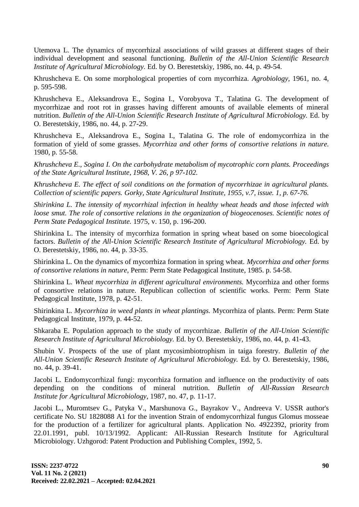Utemova L. The dynamics of mycorrhizal associations of wild grasses at different stages of their individual development and seasonal functioning. *Bulletin of the All-Union Scientific Research Institute of Agricultural Microbiology.* Ed. by O. Berestetskiy, 1986, no. 44, p. 49-54.

Khrushcheva E. On some morphological properties of corn mycorrhiza. *Agrobiology*, 1961, no. 4, p. 595-598.

Khrushcheva E., Aleksandrova E., Sogina I., Vorobyova T., Talatina G. The development of mycorrhizae and root rot in grasses having different amounts of available elements of mineral nutrition. *Bulletin of the All-Union Scientific Research Institute of Agricultural Microbiology.* Ed. by O. Berestetskiy, 1986, no. 44, p. 27-29.

Khrushcheva E., Aleksandrova E., Sogina I., Talatina G. The role of endomycorrhiza in the formation of yield of some grasses. *Mycorrhiza and other forms of consortive relations in nature.* 1980, p. 55-58.

*Khrushcheva E., Sogina I. On the carbohydrate metabolism of mycotrophic corn plants. Proceedings of the State Agricultural Institute, 1968, V. 26, p 97-102.* 

*Khrushcheva E. The effect of soil conditions on the formation of mycorrhizae in agricultural plants. Collection of scientific papers. Gorky, State Agricultural Institute, 1955, v.7, issue. 1, p. 67-76.*

*Shirinkina L. The intensity of mycorrhizal infection in healthy wheat heads and those infected with loose smut. The role of consortive relations in the organization of biogeocenoses. Scientific notes of Perm State Pedagogical Institute.* 1975, v. 150, p. 196-200.

Shirinkina L. The intensity of mycorrhiza formation in spring wheat based on some bioecological factors. *Bulletin of the All-Union Scientific Research Institute of Agricultural Microbiology.* Ed. by O. Berestetskiy, 1986, no. 44, p. 33-35.

Shirinkina L. On the dynamics of mycorrhiza formation in spring wheat. *Mycorrhiza and other forms of consortive relations in nature*, Perm: Perm State Pedagogical Institute, 1985. p. 54-58.

Shirinkina L. *Wheat mycorrhiza in different agricultural environments.* Mycorrhiza and other forms of consortive relations in nature. Republican collection of scientific works. Perm: Perm State Pedagogical Institute, 1978, p. 42-51.

Shirinkina L. *Mycorrhiza in weed plants in wheat plantings.* Mycorrhiza of plants. Perm: Perm State Pedagogical Institute, 1979, p. 44-52.

Shkaraba E. Population approach to the study of mycorrhizae. *Bulletin of the All-Union Scientific Research Institute of Agricultural Microbiology.* Ed. by O. Berestetskiy, 1986, no. 44, p. 41-43.

Shubin V. Prospects of the use of plant mycosimbiotrophism in taiga forestry. *Bulletin of the All-Union Scientific Research Institute of Agricultural Microbiology.* Ed. by O. Berestetskiy, 1986, no. 44, p. 39-41.

Jacobi L. Endomycorrhizal fungi: mycorrhiza formation and influence on the productivity of oats depending on the conditions of mineral nutrition. *Bulletin of All-Russian Research Institute for Agricultural Microbiology,* 1987, no. 47, p. 11-17.

Jacobi L., Muromtsev G., Patyka V., Marshunova G., Bayrakov V., Andreeva V. USSR author's certificate No. SU 1828088 A1 for the invention Strain of endomycorrhizal fungus Glomus mosseae for the production of a fertilizer for agricultural plants. Application No. 4922392, priority from 22.01.1991, publ. 10/13/1992. Applicant: All-Russian Research Institute for Agricultural Microbiology. Uzhgorod: Patent Production and Publishing Complex, 1992, 5.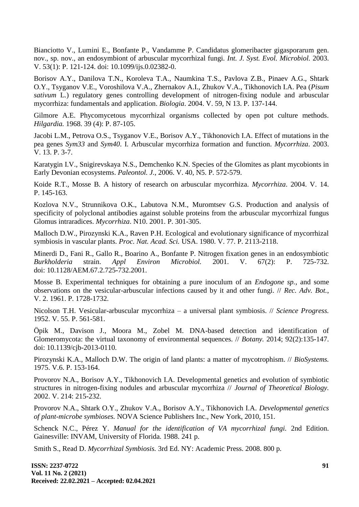Bianciotto V., Lumini E., Bonfante P., Vandamme P. Candidatus glomeribacter gigasporarum gen. nov., sp. nov., an endosymbiont of arbuscular mycorrhizal fungi. *Int. J. Syst. Evol. Microbiol.* 2003. V. 53(1): P. 121-124. doi: 10.1099/ijs.0.02382-0.

Borisov A.Y., Danilova T.N., Koroleva T.A., Naumkina T.S., Pavlova Z.B., Pinaev A.G., Shtark O.Y., Tsyganov V.E., Voroshilova V.A., Zhernakov A.I., Zhukov V.A., Tikhonovich I.A. Pea (*Pisum sativum* L.) regulatory genes controlling development of nitrogen-fixing nodule and arbuscular mycorrhiza: fundamentals and application. *Biologia*. 2004. V. 59, N 13. P. 137-144.

Gilmore A.E. Phycomycetous mycorrhizal organisms collected by open pot culture methods. *Hilgardia.* 1968. 39 (4): P. 87-105.

Jacobi L.M., Petrova O.S., Tsyganov V.E., Borisov A.Y., Tikhonovich I.A. Effect of mutations in the pea genes *Sym33* and *Sym40*. I. Arbuscular mycorrhiza formation and function. *Mycorrhiza*. 2003. V. 13. P. 3-7.

Karatygin I.V., Snigirevskaya N.S., Demchenko K.N. Species of the Glomites as plant mycobionts in Early Devonian ecosystems. *Paleontol. J.*, 2006. V. 40, N5. P. 572-579.

Koide R.T., Mosse B. A history of research on arbuscular mycorrhiza. *Mycorrhiza*. 2004. V. 14. P. 145-163.

Kozlova N.V., Strunnikova O.K., Labutova N.M., Muromtsev G.S. Production and analysis of specificity of polyclonal antibodies against soluble proteins from the arbuscular mycorrhizal fungus Glomus intraradices. *Mycorrhiza*. N10. 2001. P. 301-305.

Malloch D.W., Pirozynski K.A., Raven P.H. Ecological and evolutionary significance of mycorrhizal symbiosis in vascular plants. *Proc. Nat. Acad. Sci.* USA. 1980. V. 77. P. 2113-2118.

Minerdi D., Fani R., Gallo R., Boarino A., Bonfante P. Nitrogen fixation genes in an endosymbiotic *Burkholderia* strain. *Appl Environ Microbiol.* 2001. V. 67(2): P. 725-732. doi: 10.1128/AEM.67.2.725-732.2001.

Mosse B. Experimental techniques for obtaining a pure inoculum of an *Endogone sp.*, and some observations on the vesicular-arbuscular infections caused by it and other fungi. // *Rec. Adv. Bot.*, V. 2. 1961. P. 1728-1732.

Nicolson T.H. Vesicular-arbuscular mycorrhiza – a universal plant symbiosis. // *Science Progress.* 1952. V. 55. P. 561-581.

Öpik M., Davison J., Moora M., Zobel M. DNA-based detection and identification of Glomeromycota: the virtual taxonomy of environmental sequences. // *Botany.* 2014; 92(2):135-147. doi: 10.1139/cjb-2013-0110.

Pirozynski K.A., Malloch D.W. The origin of land plants: a matter of mycotrophism. // *BioSystems.* 1975. V.6. P. 153-164.

Provorov N.A., Borisov A.Y., Tikhonovich I.A. Developmental genetics and evolution of symbiotic structures in nitrogen-fixing nodules and arbuscular mycorrhiza // *Journal of Theoretical Biology.* 2002. V. 214: 215-232.

Provorov N.A., Shtark O.Y., Zhukov V.A., Borisov A.Y., Tikhonovich I.A. *Developmental genetics of plant-microbe symbioses.* NOVA Science Publishers Inc., New York, 2010, 151.

Schenck N.C., Pérez Y. *Manual for the identification of VA mycorrhizal fungi.* 2nd Edition. Gainesville: INVAM, University of Florida. 1988. 241 p.

Smith S., Read D. *Mycorrhizal Symbiosis.* 3rd Ed. NY: Academic Press. 2008. 800 p.